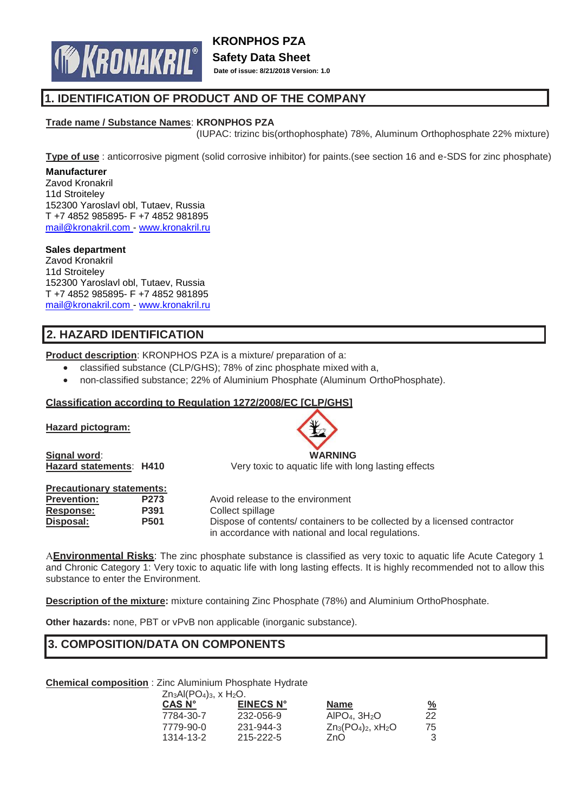

# **1. IDENTIFICATION OF PRODUCT AND OF THE COMPANY**

## **Trade name / Substance Names**: **KRONPHOS PZA**

(IUPAC: trizinc bis(orthophosphate) 78%, Aluminum Orthophosphate 22% mixture)

**Type of use** : anticorrosive pigment (solid corrosive inhibitor) for paints.(see section 16 and e-SDS for zinc phosphate)

#### **Manufacturer**

Zavod Kronakril 11d Stroiteley 152300 Yaroslavl obl, Tutaev, Russia T +7 4852 985895- F +7 4852 981895 [mail@kronakril.com -](mailto:mail@kronakril.com) [www.kronakril.ru](http://www.kronakril.ru/)

#### **Sales department**

Zavod Kronakril 11d Stroiteley 152300 Yaroslavl obl, Tutaev, Russia T +7 4852 985895- F +7 4852 981895 [mail@kronakril.com -](mailto:mail@kronakril.com) [www.kronakril.ru](http://www.kronakril.ru/)

# **2. HAZARD IDENTIFICATION**

**Product description**: KRONPHOS PZA is a mixture/ preparation of a:

- classified substance (CLP/GHS); 78% of zinc phosphate mixed with a,
- non-classified substance; 22% of Aluminium Phosphate (Aluminum OrthoPhosphate).

## **Classification according to Regulation 1272/2008/EC [CLP/GHS]**

## **Hazard pictogram:**

**Signal word**: **WARNING**

| <b>Precautionary statements:</b> |                  |
|----------------------------------|------------------|
| <b>Prevention:</b>               | P <sub>273</sub> |
| <b>Response:</b>                 | <b>P391</b>      |
| Disposal:                        | <b>P501</b>      |
|                                  |                  |

**Hazard statements**: **H410** Very toxic to aquatic life with long lasting effects

Avoid release to the environment **Response: P391** Collect spillage Dispose of contents/ containers to be collected by a licensed contractor in accordance with national and local regulations.

**Environmental Risks**: The zinc phosphate substance is classified as very toxic to aquatic life Acute Category 1 and Chronic Category 1: Very toxic to aquatic life with long lasting effects. It is highly recommended not to allow this substance to enter the Environment.

**Description of the mixture:** mixture containing Zinc Phosphate (78%) and Aluminium OrthoPhosphate.

**Other hazards:** none, PBT or vPvB non applicable (inorganic substance).

# **3. COMPOSITION/DATA ON COMPONENTS**

**Chemical composition** : Zinc Aluminium Phosphate Hydrate  $AI(DQ)$   $V H C$ 

| $\angle$ II3AI(PU4)3, X H <sub>2</sub> U. |                            |                       |
|-------------------------------------------|----------------------------|-----------------------|
| <b>EINECS N°</b>                          | <b>Name</b>                | $\frac{\%}{\sqrt{2}}$ |
| 232-056-9                                 | AIPO <sub>4</sub> , $3H2O$ | 22                    |
| 231-944-3                                 | $Zn_3(PO_4)_2$ , $xH_2O$   | 75                    |
| 215-222-5                                 | ZnO                        | 3                     |
|                                           |                            |                       |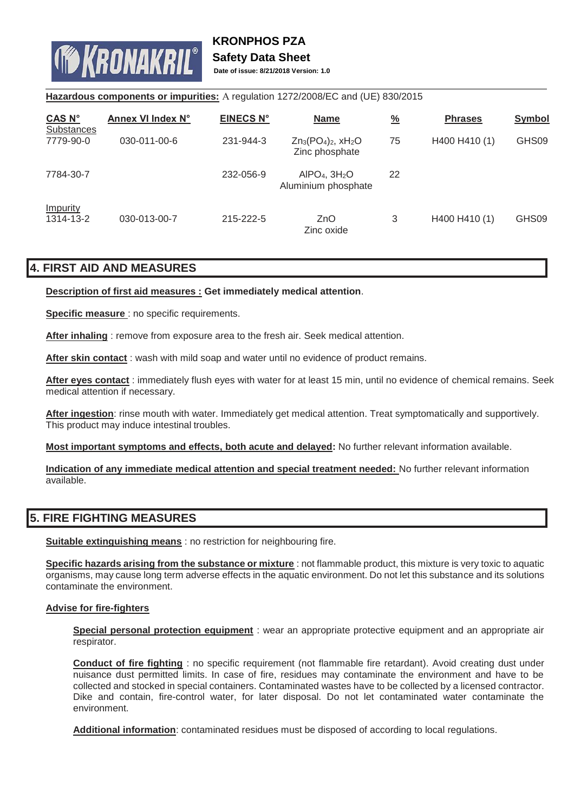

# **Safety Data Sheet**

**Date of issue: 8/21/2018 Version: 1.0**

## Hazardous components or impurities: A regulation 1272/2008/EC and (UE) 830/2015

| CAS N°<br><b>Substances</b>  | Annex VI Index N° | <b>EINECS N°</b> | <b>Name</b>                                       | $\frac{9}{6}$ | <b>Phrases</b> | <b>Symbol</b> |
|------------------------------|-------------------|------------------|---------------------------------------------------|---------------|----------------|---------------|
| 7779-90-0                    | 030-011-00-6      | 231-944-3        | $Zn_3(PO_4)_2$ , $xH_2O$<br>Zinc phosphate        | 75            | H400 H410 (1)  | GHS09         |
| 7784-30-7                    |                   | 232-056-9        | AIPO <sub>4</sub> , $3H2O$<br>Aluminium phosphate | 22            |                |               |
| <b>Impurity</b><br>1314-13-2 | 030-013-00-7      | 215-222-5        | ZnO<br>Zinc oxide                                 | 3             | H400 H410 (1)  | GHS09         |

## **4. FIRST AID AND MEASURES**

## **Description of first aid measures : Get immediately medical attention**.

**Specific measure** : no specific requirements.

**After inhaling** : remove from exposure area to the fresh air. Seek medical attention.

After skin contact: wash with mild soap and water until no evidence of product remains.

**After eyes contact** : immediately flush eyes with water for at least 15 min, until no evidence of chemical remains. Seek medical attention if necessary.

**After ingestion**: rinse mouth with water. Immediately get medical attention. Treat symptomatically and supportively. This product may induce intestinal troubles.

**Most important symptoms and effects, both acute and delayed:** No further relevant information available.

**Indication of any immediate medical attention and special treatment needed:** No further relevant information available.

# **5. FIRE FIGHTING MEASURES**

**Suitable extinguishing means** : no restriction for neighbouring fire.

**Specific hazards arising from the substance or mixture** : not flammable product, this mixture is very toxic to aquatic organisms, may cause long term adverse effects in the aquatic environment. Do not let this substance and its solutions contaminate the environment.

## **Advise for fire-fighters**

**Special personal protection equipment** : wear an appropriate protective equipment and an appropriate air respirator.

**Conduct of fire fighting** : no specific requirement (not flammable fire retardant). Avoid creating dust under nuisance dust permitted limits. In case of fire, residues may contaminate the environment and have to be collected and stocked in special containers. Contaminated wastes have to be collected by a licensed contractor. Dike and contain, fire-control water, for later disposal. Do not let contaminated water contaminate the environment.

**Additional information**: contaminated residues must be disposed of according to local regulations.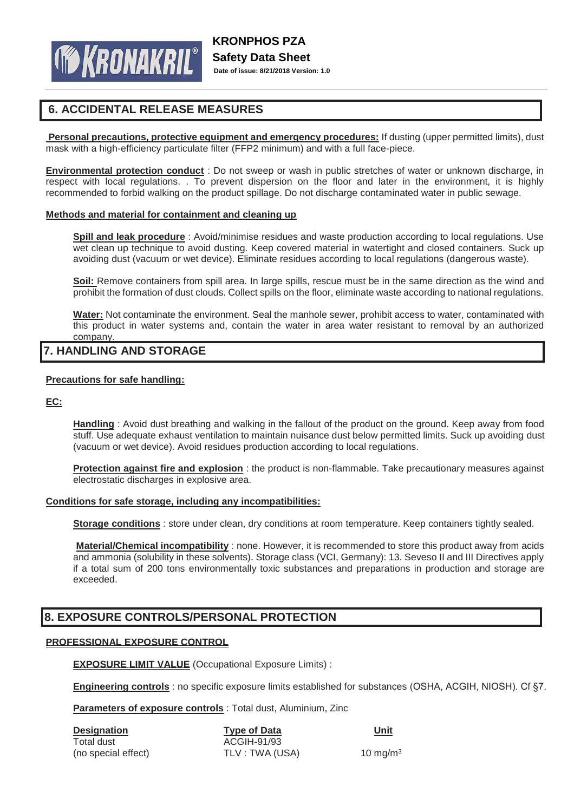

# **6. ACCIDENTAL RELEASE MEASURES**

**Personal precautions, protective equipment and emergency procedures:** If dusting (upper permitted limits), dust mask with a high-efficiency particulate filter (FFP2 minimum) and with a full face-piece.

**Environmental protection conduct** : Do not sweep or wash in public stretches of water or unknown discharge, in respect with local regulations. . To prevent dispersion on the floor and later in the environment, it is highly recommended to forbid walking on the product spillage. Do not discharge contaminated water in public sewage.

## **Methods and material for containment and cleaning up**

**Spill and leak procedure** : Avoid/minimise residues and waste production according to local regulations. Use wet clean up technique to avoid dusting. Keep covered material in watertight and closed containers. Suck up avoiding dust (vacuum or wet device). Eliminate residues according to local regulations (dangerous waste).

**Soil:** Remove containers from spill area. In large spills, rescue must be in the same direction as the wind and prohibit the formation of dust clouds. Collect spills on the floor, eliminate waste according to national regulations.

**Water:** Not contaminate the environment. Seal the manhole sewer, prohibit access to water, contaminated with this product in water systems and, contain the water in area water resistant to removal by an authorized company.

## **7. HANDLING AND STORAGE**

## **Precautions for safe handling:**

**EC:**

**Handling** : Avoid dust breathing and walking in the fallout of the product on the ground. Keep away from food stuff. Use adequate exhaust ventilation to maintain nuisance dust below permitted limits. Suck up avoiding dust (vacuum or wet device). Avoid residues production according to local regulations.

**Protection against fire and explosion**: the product is non-flammable. Take precautionary measures against electrostatic discharges in explosive area.

## **Conditions for safe storage, including any incompatibilities:**

**Storage conditions** : store under clean, dry conditions at room temperature. Keep containers tightly sealed.

**Material/Chemical incompatibility** : none. However, it is recommended to store this product away from acids and ammonia (solubility in these solvents). Storage class (VCI, Germany): 13. Seveso II and III Directives apply if a total sum of 200 tons environmentally toxic substances and preparations in production and storage are exceeded.

# **8. EXPOSURE CONTROLS/PERSONAL PROTECTION**

## **PROFESSIONAL EXPOSURE CONTROL**

**EXPOSURE LIMIT VALUE** (Occupational Exposure Limits) :

**Engineering controls** : no specific exposure limits established for substances (OSHA, ACGIH, NIOSH). Cf §7.

**Parameters of exposure controls** : Total dust, Aluminium, Zinc

| <b>Designation</b>  | <b>Type of Data</b> | Unit        |
|---------------------|---------------------|-------------|
| Total dust          | ACGIH-91/93         |             |
| (no special effect) | TLV : TWA (USA)     | 10 mg/m $3$ |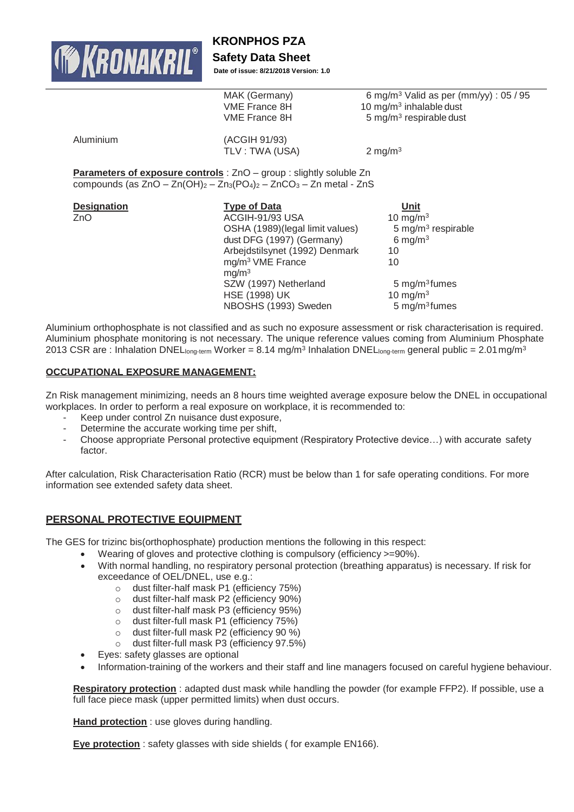

**KRONPHOS PZA**

## **Safety Data Sheet**

**Date of issue: 8/21/2018 Version: 1.0**

|           | MAK (Germany)<br>VME France 8H<br>VME France 8H                           | 6 mg/m <sup>3</sup> Valid as per (mm/yy) : $05/95$<br>10 mg/m $3$ inhalable dust<br>5 mg/m <sup>3</sup> respirable dust |
|-----------|---------------------------------------------------------------------------|-------------------------------------------------------------------------------------------------------------------------|
| Aluminium | (ACGIH 91/93)<br>TLV : TWA (USA)                                          | 2 mg/m $3$                                                                                                              |
|           | <b>Devembers of sympative controls</b> $750$ agains calidative ships $75$ |                                                                                                                         |

**Parameters of exposure controls** : ZnO – group : slightly soluble Zn compounds (as  $ZnO - Zn(OH)<sub>2</sub> - Zn<sub>3</sub>(PO<sub>4</sub>)<sub>2</sub> - ZnCO<sub>3</sub> - Zn$  metal - ZnS

| <b>Designation</b> | <b>Type of Data</b>             | Unit                           |
|--------------------|---------------------------------|--------------------------------|
| ZnO                | ACGIH-91/93 USA                 | 10 mg/m $3$                    |
|                    | OSHA (1989)(legal limit values) | 5 mg/m <sup>3</sup> respirable |
|                    | dust DFG (1997) (Germany)       | 6 mg/m $3$                     |
|                    | Arbejdstilsynet (1992) Denmark  | 10                             |
|                    | mg/m <sup>3</sup> VME France    | 10                             |
|                    | mq/m <sup>3</sup>               |                                |
|                    | SZW (1997) Netherland           | 5 mg/m $3$ fumes               |
|                    | <b>HSE (1998) UK</b>            | 10 mg/m $3$                    |
|                    | NBOSHS (1993) Sweden            | 5 mg/m $3$ fumes               |

Aluminium orthophosphate is not classified and as such no exposure assessment or risk characterisation is required. Aluminium phosphate monitoring is not necessary. The unique reference values coming from Aluminium Phosphate 2013 CSR are : Inhalation DNEL $_{\sf long-term}$  Worker = 8.14 mg/m $^3$  Inhalation DNEL $_{\sf long-term}$  general public = 2.01 mg/m $^3$ 

## **OCCUPATIONAL EXPOSURE MANAGEMENT:**

Zn Risk management minimizing, needs an 8 hours time weighted average exposure below the DNEL in occupational workplaces. In order to perform a real exposure on workplace, it is recommended to:

- Keep under control Zn nuisance dust exposure,
- Determine the accurate working time per shift,
- Choose appropriate Personal protective equipment (Respiratory Protective device…) with accurate safety factor.

After calculation, Risk Characterisation Ratio (RCR) must be below than 1 for safe operating conditions. For more information see extended safety data sheet.

## **PERSONAL PROTECTIVE EQUIPMENT**

The GES for trizinc bis(orthophosphate) production mentions the following in this respect:

- Wearing of gloves and protective clothing is compulsory (efficiency >=90%).
- With normal handling, no respiratory personal protection (breathing apparatus) is necessary. If risk for exceedance of OEL/DNEL, use e.g.:
	- o dust filter-half mask P1 (efficiency 75%)
	- o dust filter-half mask P2 (efficiency 90%)
	- o dust filter-half mask P3 (efficiency 95%)
	- o dust filter-full mask P1 (efficiency 75%)
	- o dust filter-full mask P2 (efficiency 90 %)
	- o dust filter-full mask P3 (efficiency 97.5%)
- Eyes: safety glasses are optional
- Information-training of the workers and their staff and line managers focused on careful hygiene behaviour.

**Respiratory protection** : adapted dust mask while handling the powder (for example FFP2). If possible, use a full face piece mask (upper permitted limits) when dust occurs.

**Hand protection** : use gloves during handling.

**Eye protection** : safety glasses with side shields ( for example EN166).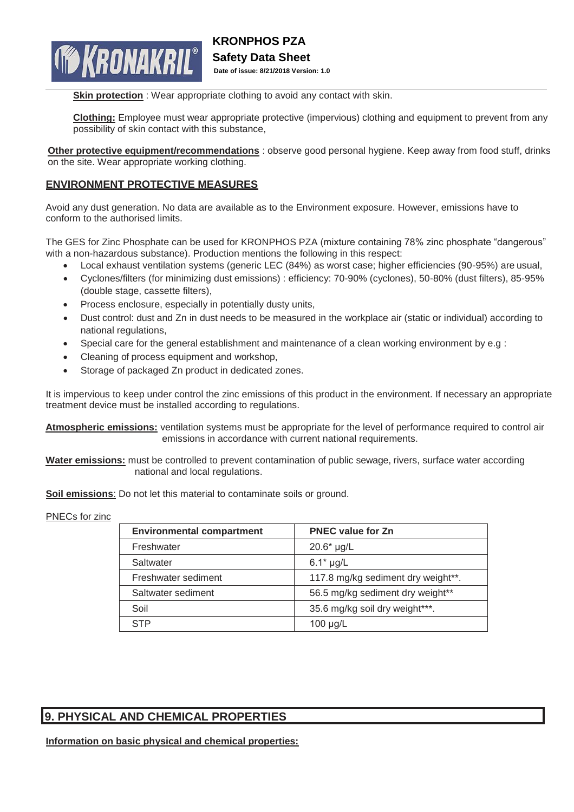

**Skin protection** : Wear appropriate clothing to avoid any contact with skin.

**Clothing:** Employee must wear appropriate protective (impervious) clothing and equipment to prevent from any possibility of skin contact with this substance,

**Other protective equipment/recommendations** : observe good personal hygiene. Keep away from food stuff, drinks on the site. Wear appropriate working clothing.

## **ENVIRONMENT PROTECTIVE MEASURES**

Avoid any dust generation. No data are available as to the Environment exposure. However, emissions have to conform to the authorised limits.

The GES for Zinc Phosphate can be used for KRONPHOS PZA (mixture containing 78% zinc phosphate "dangerous" with a non-hazardous substance). Production mentions the following in this respect:

- Local exhaust ventilation systems (generic LEC (84%) as worst case; higher efficiencies (90-95%) are usual,
- Cyclones/filters (for minimizing dust emissions) : efficiency: 70-90% (cyclones), 50-80% (dust filters), 85-95% (double stage, cassette filters),
- Process enclosure, especially in potentially dusty units,
- Dust control: dust and Zn in dust needs to be measured in the workplace air (static or individual) according to national regulations,
- Special care for the general establishment and maintenance of a clean working environment by e.g :
- Cleaning of process equipment and workshop,
- Storage of packaged Zn product in dedicated zones.

It is impervious to keep under control the zinc emissions of this product in the environment. If necessary an appropriate treatment device must be installed according to regulations.

**Atmospheric emissions:** ventilation systems must be appropriate for the level of performance required to control air emissions in accordance with current national requirements.

**Water emissions:** must be controlled to prevent contamination of public sewage, rivers, surface water according national and local regulations.

**Soil emissions**: Do not let this material to contaminate soils or ground.

## PNECs for zinc

| <b>Environmental compartment</b> | <b>PNEC value for Zn</b>           |
|----------------------------------|------------------------------------|
| Freshwater                       | $20.6*$ µg/L                       |
| Saltwater                        | $6.1*$ µg/L                        |
| Freshwater sediment              | 117.8 mg/kg sediment dry weight**. |
| Saltwater sediment               | 56.5 mg/kg sediment dry weight**   |
| Soil                             | 35.6 mg/kg soil dry weight***.     |
| STP                              | $100 \mu g/L$                      |

# **9. PHYSICAL AND CHEMICAL PROPERTIES**

**Information on basic physical and chemical properties:**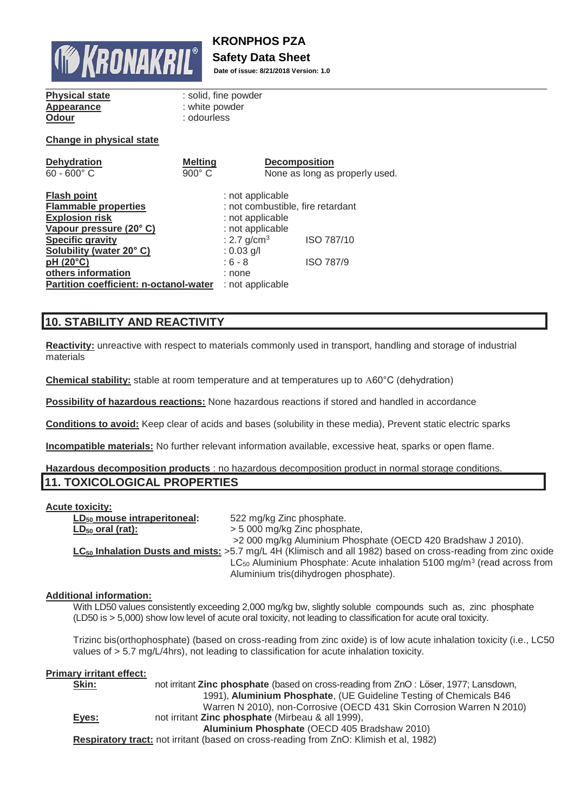

# **KRONPHOS PZA**

# **Safety Data Sheet**

**Date of issue: 8/21/2018 Version: 1.0**

## **Physical state** : solid, fine powder **Appearance** : white powder **Odour** : odourless

## **Change in physical state**

| <b>Dehydration</b>                     | <b>Melting</b> | <b>Decomposition</b>              |                                |
|----------------------------------------|----------------|-----------------------------------|--------------------------------|
| $60 - 600^{\circ}$ C                   | $900^\circ$ C  |                                   | None as long as properly used. |
|                                        |                |                                   |                                |
| <b>Flash point</b>                     |                | : not applicable                  |                                |
| <b>Flammable properties</b>            |                | : not combustible, fire retardant |                                |
| <b>Explosion risk</b>                  |                | : not applicable                  |                                |
| Vapour pressure (20°C)                 |                | : not applicable                  |                                |
| <b>Specific gravity</b>                |                | : 2.7 $g/cm^{3}$                  | ISO 787/10                     |
| Solubility (water 20°C)                |                | : $0.03$ g/l                      |                                |
| pH (20°C)                              |                | $: 6 - 8$                         | <b>ISO 787/9</b>               |
| others information                     |                | : none                            |                                |
| Partition coefficient: n-octanol-water |                | : not applicable                  |                                |

# **10. STABILITY AND REACTIVITY**

**Reactivity:** unreactive with respect to materials commonly used in transport, handling and storage of industrial materials

**Chemical stability:** stable at room temperature and at temperatures up to A60°C (dehydration)

**Possibility of hazardous reactions:** None hazardous reactions if stored and handled in accordance

**Conditions to avoid:** Keep clear of acids and bases (solubility in these media), Prevent static electric sparks

**Incompatible materials:** No further relevant information available, excessive heat, sparks or open flame.

## **Hazardous decomposition products** : no hazardous decomposition product in normal storage conditions. **11. TOXICOLOGICAL PROPERTIES**

## **Acute toxicity:**

| $LD_{50}$ mouse intraperitoneal: | 522 mg/kg Zinc phosphate.                                                                                         |
|----------------------------------|-------------------------------------------------------------------------------------------------------------------|
| $LD_{50}$ oral (rat):            | > 5 000 mg/kg Zinc phosphate,                                                                                     |
|                                  | >2 000 mg/kg Aluminium Phosphate (OECD 420 Bradshaw J 2010).                                                      |
|                                  | $LC_{50}$ Inhalation Dusts and mists: >5.7 mg/L 4H (Klimisch and all 1982) based on cross-reading from zinc oxide |
|                                  | $LC_{50}$ Aluminium Phosphate: Acute inhalation 5100 mg/m <sup>3</sup> (read across from                          |
|                                  | Aluminium tris(dihydrogen phosphate).                                                                             |

## **Additional information:**

With LD50 values consistently exceeding 2,000 mg/kg bw, slightly soluble compounds such as, zinc phosphate (LD50 is > 5,000) show low level of acute oral toxicity, not leading to classification for acute oral toxicity.

Trizinc bis(orthophosphate) (based on cross-reading from zinc oxide) is of low acute inhalation toxicity (i.e., LC50 values of > 5.7 mg/L/4hrs), not leading to classification for acute inhalation toxicity.

## **Primary irritant effect:**

| Skin: | not irritant <b>Zinc phosphate</b> (based on cross-reading from ZnO: Löser, 1977; Lansdown, |
|-------|---------------------------------------------------------------------------------------------|
|       | 1991), Aluminium Phosphate, (UE Guideline Testing of Chemicals B46                          |
|       | Warren N 2010), non-Corrosive (OECD 431 Skin Corrosion Warren N 2010)                       |
| Eyes: | not irritant <b>Zinc phosphate</b> (Mirbeau & all 1999),                                    |
|       | Aluminium Phosphate (OECD 405 Bradshaw 2010)                                                |
|       | Respiratory tract: not irritant (based on cross-reading from ZnO: Klimish et al, 1982)      |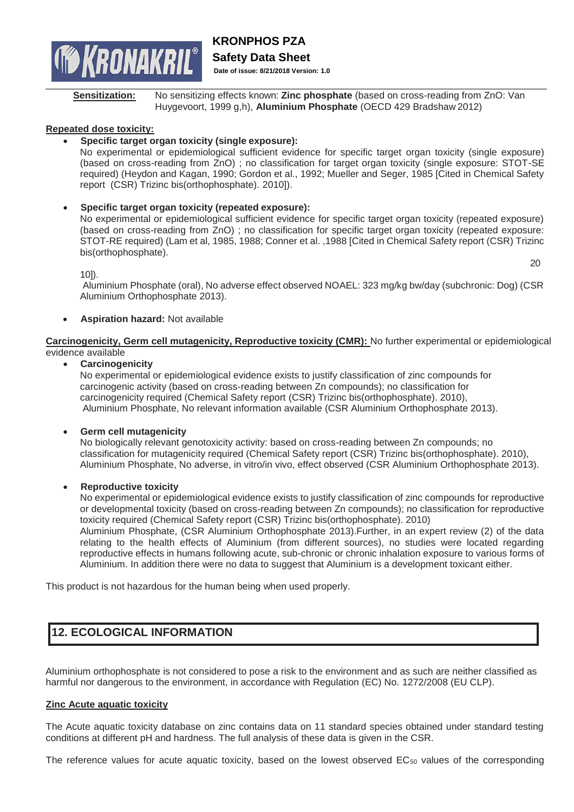

**Sensitization:** No sensitizing effects known: **Zinc phosphate** (based on cross-reading from ZnO: Van Huygevoort, 1999 g,h), **Aluminium Phosphate** (OECD 429 Bradshaw 2012)

## **Repeated dose toxicity:**

• **Specific target organ toxicity (single exposure):**

No experimental or epidemiological sufficient evidence for specific target organ toxicity (single exposure) (based on cross-reading from ZnO) ; no classification for target organ toxicity (single exposure: STOT-SE required) (Heydon and Kagan, 1990; Gordon et al., 1992; Mueller and Seger, 1985 [Cited in Chemical Safety report (CSR) Trizinc bis(orthophosphate). 2010]).

## • **Specific target organ toxicity (repeated exposure):**

No experimental or epidemiological sufficient evidence for specific target organ toxicity (repeated exposure) (based on cross-reading from ZnO) ; no classification for specific target organ toxicity (repeated exposure: STOT-RE required) (Lam et al, 1985, 1988; Conner et al. ,1988 [Cited in Chemical Safety report (CSR) Trizinc bis(orthophosphate).

10]).

Aluminium Phosphate (oral), No adverse effect observed NOAEL: 323 mg/kg bw/day (subchronic: Dog) (CSR Aluminium Orthophosphate 2013).

• **Aspiration hazard:** Not available

**Carcinogenicity, Germ cell mutagenicity, Reproductive toxicity (CMR):** No further experimental or epidemiological evidence available

## • **Carcinogenicity**

No experimental or epidemiological evidence exists to justify classification of zinc compounds for carcinogenic activity (based on cross-reading between Zn compounds); no classification for carcinogenicity required (Chemical Safety report (CSR) Trizinc bis(orthophosphate). 2010), Aluminium Phosphate, No relevant information available (CSR Aluminium Orthophosphate 2013).

## • **Germ cell mutagenicity**

No biologically relevant genotoxicity activity: based on cross-reading between Zn compounds; no classification for mutagenicity required (Chemical Safety report (CSR) Trizinc bis(orthophosphate). 2010), Aluminium Phosphate, No adverse, in vitro/in vivo, effect observed (CSR Aluminium Orthophosphate 2013).

## • **Reproductive toxicity**

No experimental or epidemiological evidence exists to justify classification of zinc compounds for reproductive or developmental toxicity (based on cross-reading between Zn compounds); no classification for reproductive toxicity required (Chemical Safety report (CSR) Trizinc bis(orthophosphate). 2010)

Aluminium Phosphate, (CSR Aluminium Orthophosphate 2013).Further, in an expert review (2) of the data relating to the health effects of Aluminium (from different sources), no studies were located regarding reproductive effects in humans following acute, sub-chronic or chronic inhalation exposure to various forms of Aluminium. In addition there were no data to suggest that Aluminium is a development toxicant either.

This product is not hazardous for the human being when used properly.

# **12. ECOLOGICAL INFORMATION**

Aluminium orthophosphate is not considered to pose a risk to the environment and as such are neither classified as harmful nor dangerous to the environment, in accordance with Regulation (EC) No. 1272/2008 (EU CLP).

## **Zinc Acute aquatic toxicity**

The Acute aquatic toxicity database on zinc contains data on 11 standard species obtained under standard testing conditions at different pH and hardness. The full analysis of these data is given in the CSR.

The reference values for acute aquatic toxicity, based on the lowest observed  $EC_{50}$  values of the corresponding

20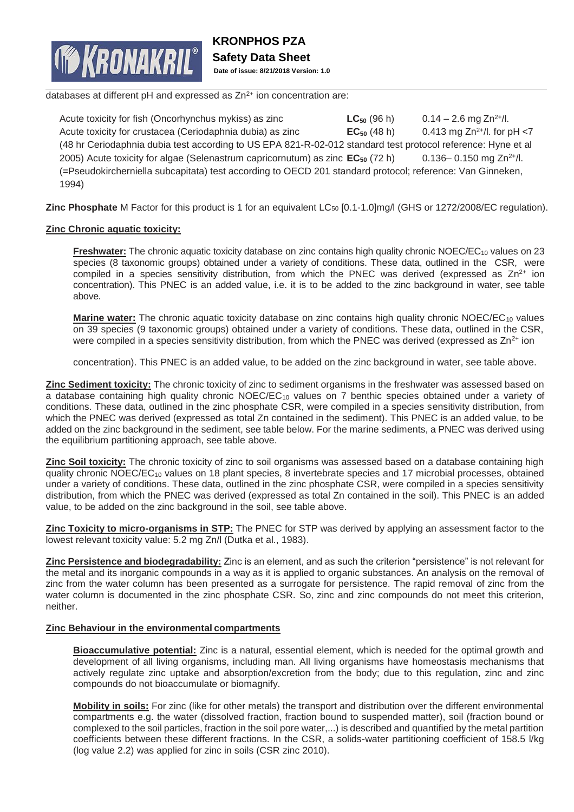

databases at different pH and expressed as  $Zn^{2+}$  ion concentration are:

Acute toxicity for fish (Oncorhynchus mykiss) as zinc **LC**<sub>50</sub> (96 h) 0.14 – 2.6 mg Zn<sup>2+</sup>/l. Acute toxicity for crustacea (Ceriodaphnia dubia) as zinc **EC**<sub>50</sub> (48 h) 0.413 mg Zn<sup>2+</sup>/l. for pH <7 (48 hr Ceriodaphnia dubia test according to US EPA 821-R-02-012 standard test protocol reference: Hyne et al 2005) Acute toxicity for algae (Selenastrum capricornutum) as zinc  $EC_{50}$  (72 h) 0.136– 0.150 mg Zn<sup>2+</sup>/l. (=Pseudokircherniella subcapitata) test according to OECD 201 standard protocol; reference: Van Ginneken, 1994)

**Zinc Phosphate** M Factor for this product is 1 for an equivalent LC<sub>50</sub> [0.1-1.0]mg/l (GHS or 1272/2008/EC regulation).

## **Zinc Chronic aquatic toxicity:**

**Freshwater:** The chronic aquatic toxicity database on zinc contains high quality chronic NOEC/EC<sub>10</sub> values on 23 species (8 taxonomic groups) obtained under a variety of conditions. These data, outlined in the CSR, were compiled in a species sensitivity distribution, from which the PNEC was derived (expressed as  $Zn^{2+}$  ion concentration). This PNEC is an added value, i.e. it is to be added to the zinc background in water, see table above.

**Marine water:** The chronic aquatic toxicity database on zinc contains high quality chronic NOEC/EC<sub>10</sub> values on 39 species (9 taxonomic groups) obtained under a variety of conditions. These data, outlined in the CSR, were compiled in a species sensitivity distribution, from which the PNEC was derived (expressed as  $Zn^{2+}$  ion

concentration). This PNEC is an added value, to be added on the zinc background in water, see table above.

**Zinc Sediment toxicity:** The chronic toxicity of zinc to sediment organisms in the freshwater was assessed based on a database containing high quality chronic NOEC/EC<sub>10</sub> values on 7 benthic species obtained under a variety of conditions. These data, outlined in the zinc phosphate CSR, were compiled in a species sensitivity distribution, from which the PNEC was derived (expressed as total Zn contained in the sediment). This PNEC is an added value, to be added on the zinc background in the sediment, see table below. For the marine sediments, a PNEC was derived using the equilibrium partitioning approach, see table above.

**Zinc Soil toxicity:** The chronic toxicity of zinc to soil organisms was assessed based on a database containing high quality chronic NOEC/EC<sup>10</sup> values on 18 plant species, 8 invertebrate species and 17 microbial processes, obtained under a variety of conditions. These data, outlined in the zinc phosphate CSR, were compiled in a species sensitivity distribution, from which the PNEC was derived (expressed as total Zn contained in the soil). This PNEC is an added value, to be added on the zinc background in the soil, see table above.

**Zinc Toxicity to micro-organisms in STP:** The PNEC for STP was derived by applying an assessment factor to the lowest relevant toxicity value: 5.2 mg Zn/l (Dutka et al., 1983).

**Zinc Persistence and biodegradability:** Zinc is an element, and as such the criterion "persistence" is not relevant for the metal and its inorganic compounds in a way as it is applied to organic substances. An analysis on the removal of zinc from the water column has been presented as a surrogate for persistence. The rapid removal of zinc from the water column is documented in the zinc phosphate CSR. So, zinc and zinc compounds do not meet this criterion, neither.

## **Zinc Behaviour in the environmental compartments**

**Bioaccumulative potential:** Zinc is a natural, essential element, which is needed for the optimal growth and development of all living organisms, including man. All living organisms have homeostasis mechanisms that actively regulate zinc uptake and absorption/excretion from the body; due to this regulation, zinc and zinc compounds do not bioaccumulate or biomagnify.

**Mobility in soils:** For zinc (like for other metals) the transport and distribution over the different environmental compartments e.g. the water (dissolved fraction, fraction bound to suspended matter), soil (fraction bound or complexed to the soil particles, fraction in the soil pore water,...) is described and quantified by the metal partition coefficients between these different fractions. In the CSR, a solids-water partitioning coefficient of 158.5 l/kg (log value 2.2) was applied for zinc in soils (CSR zinc 2010).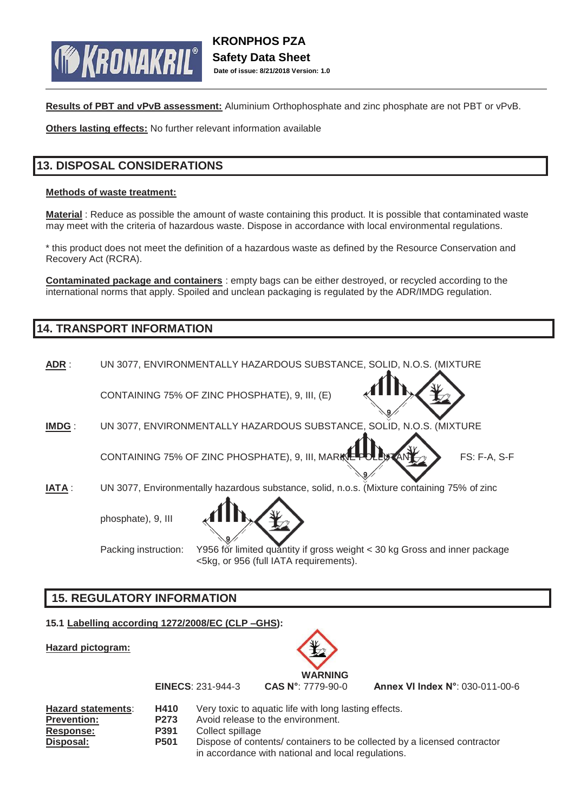

**Results of PBT and vPvB assessment:** Aluminium Orthophosphate and zinc phosphate are not PBT or vPvB.

**Others lasting effects:** No further relevant information available

# **13. DISPOSAL CONSIDERATIONS**

## **Methods of waste treatment:**

**Material** : Reduce as possible the amount of waste containing this product. It is possible that contaminated waste may meet with the criteria of hazardous waste. Dispose in accordance with local environmental regulations.

\* this product does not meet the definition of a hazardous waste as defined by the Resource Conservation and Recovery Act (RCRA).

**Contaminated package and containers** : empty bags can be either destroyed, or recycled according to the international norms that apply. Spoiled and unclean packaging is regulated by the ADR/IMDG regulation.

## **14. TRANSPORT INFORMATION**

**ADR** : UN 3077, ENVIRONMENTALLY HAZARDOUS SUBSTANCE, SOLID, N.O.S. (MIXTURE CONTAINING 75% OF ZINC PHOSPHATE), 9, III, (E) **IMDG** : UN 3077, ENVIRONMENTALLY HAZARDOUS SUBSTANCE, SOLID, N.O.S. (MIXTURE CONTAINING 75% OF ZINC PHOSPHATE), 9, III, MARINE POLLUTANT  $\rightarrow$  FS: F-A, S-F **IATA** : UN 3077, Environmentally hazardous substance, solid, n.o.s. (Mixture containing 75% of zinc phosphate), 9, III



Packing instruction: Y956 for limited quantity if gross weight < 30 kg Gross and inner package <5kg, or 956 (full IATA requirements).

# **15. REGULATORY INFORMATION**

## **15.1 Labelling according 1272/2008/EC (CLP –GHS):**

**Hazard pictogram:**



**EINECS**: 231-944-3 **CAS N°**: 7779-90-0 **Annex VI Index N°**: 030-011-00-6

| <b>Hazard statements:</b> | H410             | Very toxic to aquatic life with long lasting effects.                    |
|---------------------------|------------------|--------------------------------------------------------------------------|
| <b>Prevention:</b>        | P <sub>273</sub> | Avoid release to the environment.                                        |
| Response:                 | <b>P391</b>      | Collect spillage                                                         |
| Disposal:                 | <b>P501</b>      | Dispose of contents/ containers to be collected by a licensed contractor |
|                           |                  | in accordance with national and local regulations.                       |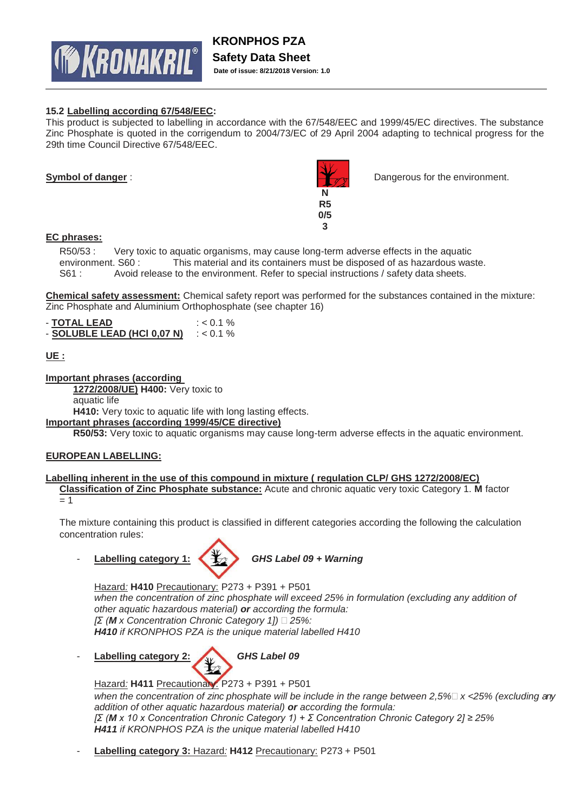

## **15.2 Labelling according 67/548/EEC:**

This product is subjected to labelling in accordance with the 67/548/EEC and 1999/45/EC directives. The substance Zinc Phosphate is quoted in the corrigendum to 2004/73/EC of 29 April 2004 adapting to technical progress for the 29th time Council Directive 67/548/EEC.



**Symbol of danger** : **Dangerous for the environment.** Dangerous for the environment.

## **EC phrases:**

R50/53 : Very toxic to aquatic organisms, may cause long-term adverse effects in the aquatic environment. S60 : This material and its containers must be disposed of as hazardous waste. S61 : Avoid release to the environment. Refer to special instructions / safety data sheets.

**Chemical safety assessment:** Chemical safety report was performed for the substances contained in the mixture: Zinc Phosphate and Aluminium Orthophosphate (see chapter 16)

| - TOTAL LEAD                | $: < 0.1 \%$ |
|-----------------------------|--------------|
| - SOLUBLE LEAD (HCI 0.07 N) | $: < 0.1 \%$ |

## **UE :**

**Important phrases (according** 

**1272/2008/UE) H400:** Very toxic to

aquatic life

**H410:** Very toxic to aquatic life with long lasting effects.

**Important phrases (according 1999/45/CE directive)**

**R50/53:** Very toxic to aquatic organisms may cause long-term adverse effects in the aquatic environment.

## **EUROPEAN LABELLING:**

## **Labelling inherent in the use of this compound in mixture ( regulation CLP/ GHS 1272/2008/EC)**

**Classification of Zinc Phosphate substance:** Acute and chronic aquatic very toxic Category 1. **M** factor  $= 1$ 

The mixture containing this product is classified in different categories according the following the calculation concentration rules:

- **Labelling category 1:** *GHS Label 09 + Warning*



Hazard*:* **H410** Precautionary: P273 + P391 + P501 when the concentration of zinc phosphate will exceed 25% in formulation (excluding any addition of *other aquatic hazardous material) or according the formula: [Σ (M x Concentration Chronic Category 1]) 25%: H410 if KRONPHOS PZA is the unique material labelled H410* 

- **Labelling category 2:** *GHS Label 09*

Hazard*:* **H411** Precautionary: P273 + P391 + P501 *when the concentration of zinc phosphate will be include in the range between 2,5%*  $\times$  <25% (excluding any *addition of other aquatic hazardous material) or according the formula: [Σ (M x 10 x Concentration Chronic Category 1) + Σ Concentration Chronic Category 2] ≥ 25% H411 if KRONPHOS PZA is the unique material labelled H410*

- **Labelling category 3:** Hazard*:* **H412** Precautionary: P273 + P501